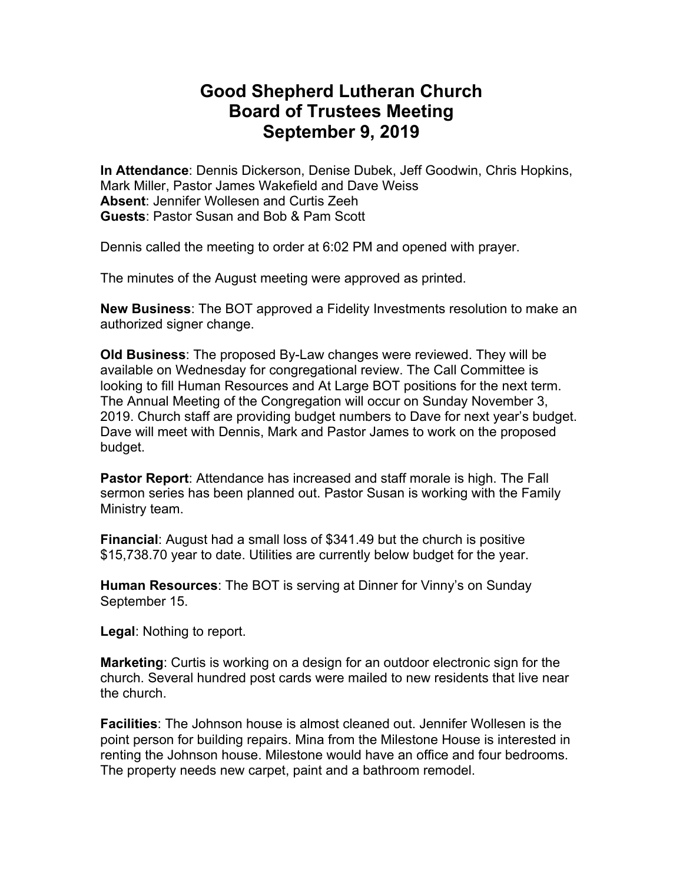## **Good Shepherd Lutheran Church Board of Trustees Meeting September 9, 2019**

**In Attendance**: Dennis Dickerson, Denise Dubek, Jeff Goodwin, Chris Hopkins, Mark Miller, Pastor James Wakefield and Dave Weiss **Absent**: Jennifer Wollesen and Curtis Zeeh **Guests**: Pastor Susan and Bob & Pam Scott

Dennis called the meeting to order at 6:02 PM and opened with prayer.

The minutes of the August meeting were approved as printed.

**New Business**: The BOT approved a Fidelity Investments resolution to make an authorized signer change.

**Old Business**: The proposed By-Law changes were reviewed. They will be available on Wednesday for congregational review. The Call Committee is looking to fill Human Resources and At Large BOT positions for the next term. The Annual Meeting of the Congregation will occur on Sunday November 3, 2019. Church staff are providing budget numbers to Dave for next year's budget. Dave will meet with Dennis, Mark and Pastor James to work on the proposed budget.

**Pastor Report**: Attendance has increased and staff morale is high. The Fall sermon series has been planned out. Pastor Susan is working with the Family Ministry team.

**Financial**: August had a small loss of \$341.49 but the church is positive \$15,738.70 year to date. Utilities are currently below budget for the year.

**Human Resources**: The BOT is serving at Dinner for Vinny's on Sunday September 15.

**Legal**: Nothing to report.

**Marketing**: Curtis is working on a design for an outdoor electronic sign for the church. Several hundred post cards were mailed to new residents that live near the church.

**Facilities**: The Johnson house is almost cleaned out. Jennifer Wollesen is the point person for building repairs. Mina from the Milestone House is interested in renting the Johnson house. Milestone would have an office and four bedrooms. The property needs new carpet, paint and a bathroom remodel.